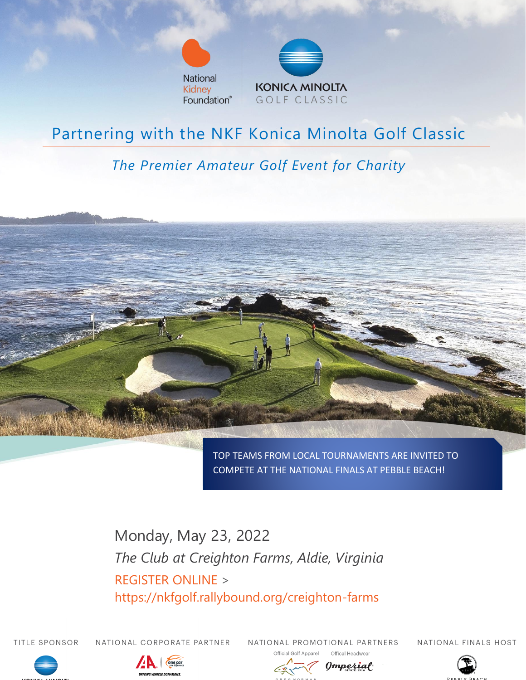



## Partnering with the NKF Konica Minolta Golf Classic

### *The Premier Amateur Golf Event for Charity*



TOP TEAMS FROM LOCAL TOURNAMENTS ARE INVITED TO COMPETE AT THE NATIONAL FINALS AT PEBBLE BEACH!

Monday, May 23, 2022 *The Club at Creighton Farms, Aldie, Virginia* REGISTER ONLINE > https://nkfgolf.rallybound.org/creighton-farms

TITLE SPONSOR

NATIONAL CORPORATE PARTNER

one car

NATIONAL PROMOTIONAL PARTNERS

NATIONAL FINALS HOST





Official Golf Apparel

Offical Headwear Omperial

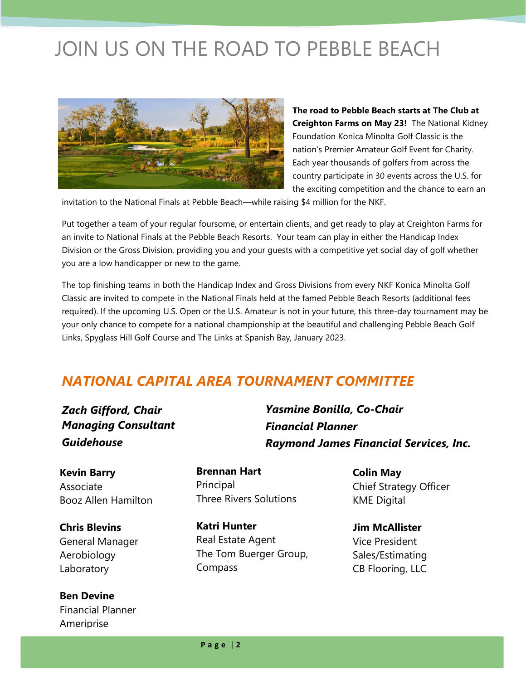# JOIN US ON THE ROAD TO PEBBLE BEACH



**The road to Pebble Beach starts at The Club at Creighton Farms on May 23!** The National Kidney Foundation Konica Minolta Golf Classic is the nation's Premier Amateur Golf Event for Charity. Each year thousands of golfers from across the country participate in 30 events across the U.S. for the exciting competition and the chance to earn an

invitation to the National Finals at Pebble Beach—while raising \$4 million for the NKF.

Put together a team of your regular foursome, or entertain clients, and get ready to play at Creighton Farms for an invite to National Finals at the Pebble Beach Resorts. Your team can play in either the Handicap Index Division or the Gross Division, providing you and your guests with a competitive yet social day of golf whether you are a low handicapper or new to the game.

The top finishing teams in both the Handicap Index and Gross Divisions from every NKF Konica Minolta Golf Classic are invited to compete in the National Finals held at the famed Pebble Beach Resorts (additional fees required). If the upcoming U.S. Open or the U.S. Amateur is not in your future, this three-day tournament may be your only chance to compete for a national championship at the beautiful and challenging Pebble Beach Golf Links, Spyglass Hill Golf Course and The Links at Spanish Bay, January 2023.

### *NATIONAL CAPITAL AREA TOURNAMENT COMMITTEE*

*Zach Gifford, Chair Managing Consultant Guidehouse*

**Kevin Barry** Associate Booz Allen Hamilton

**Chris Blevins** General Manager Aerobiology Laboratory

**Ben Devine** Financial Planner **Ameriprise** 

**Brennan Hart** Principal Three Rivers Solutions

**Katri Hunter** Real Estate Agent The Tom Buerger Group, Compass

*Yasmine Bonilla, Co-Chair Financial Planner Raymond James Financial Services, Inc.*

> **Colin May** Chief Strategy Officer KME Digital

**Jim McAllister** Vice President Sales/Estimating CB Flooring, LLC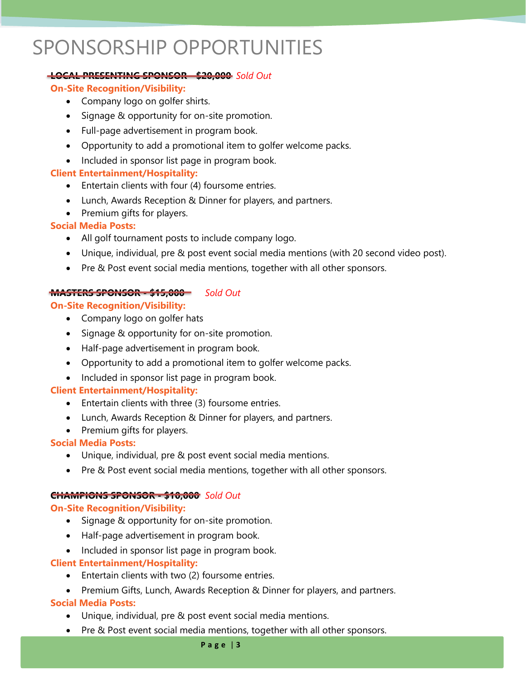# SPONSORSHIP OPPORTUNITIES

#### **LOCAL PRESENTING SPONSOR - \$20,000** *Sold Out*

#### **On-Site Recognition/Visibility:**

- Company logo on golfer shirts.
- Signage & opportunity for on-site promotion.
- Full-page advertisement in program book.
- Opportunity to add a promotional item to golfer welcome packs.
- Included in sponsor list page in program book.

#### **Client Entertainment/Hospitality:**

- Entertain clients with four (4) foursome entries.
- Lunch, Awards Reception & Dinner for players, and partners.
- Premium gifts for players.

#### **Social Media Posts:**

- All golf tournament posts to include company logo.
- Unique, individual, pre & post event social media mentions (with 20 second video post).
- Pre & Post event social media mentions, together with all other sponsors.

#### **MASTERS SPONSOR - \$15,000** *Sold Out*

#### **On-Site Recognition/Visibility:**

- Company logo on golfer hats
- Signage & opportunity for on-site promotion.
- Half-page advertisement in program book.
- Opportunity to add a promotional item to golfer welcome packs.
- Included in sponsor list page in program book.

#### **Client Entertainment/Hospitality:**

- Entertain clients with three (3) foursome entries.
- Lunch, Awards Reception & Dinner for players, and partners.
- Premium gifts for players.

#### **Social Media Posts:**

- Unique, individual, pre & post event social media mentions.
- Pre & Post event social media mentions, together with all other sponsors.

#### **CHAMPIONS SPONSOR - \$10,000** *Sold Out*

#### **On-Site Recognition/Visibility:**

- Signage & opportunity for on-site promotion.
- Half-page advertisement in program book.
- Included in sponsor list page in program book.

#### **Client Entertainment/Hospitality:**

- Entertain clients with two (2) foursome entries.
- Premium Gifts, Lunch, Awards Reception & Dinner for players, and partners.

#### **Social Media Posts:**

- Unique, individual, pre & post event social media mentions.
- Pre & Post event social media mentions, together with all other sponsors.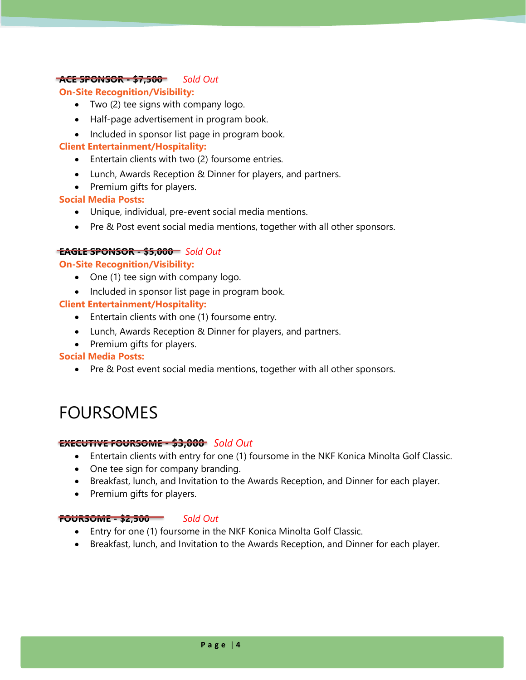#### **ACE SPONSOR - \$7,500** *Sold Out*

#### **On-Site Recognition/Visibility:**

- Two (2) tee signs with company logo.
- Half-page advertisement in program book.
- Included in sponsor list page in program book.

#### **Client Entertainment/Hospitality:**

- Entertain clients with two (2) foursome entries.
- Lunch, Awards Reception & Dinner for players, and partners.
- Premium gifts for players.

#### **Social Media Posts:**

- Unique, individual, pre-event social media mentions.
- Pre & Post event social media mentions, together with all other sponsors.

#### **EAGLE SPONSOR - \$5,000** *Sold Out*

#### **On-Site Recognition/Visibility:**

- One (1) tee sign with company logo.
- Included in sponsor list page in program book.

#### **Client Entertainment/Hospitality:**

- Entertain clients with one (1) foursome entry.
- Lunch, Awards Reception & Dinner for players, and partners.
- Premium gifts for players.

#### **Social Media Posts:**

• Pre & Post event social media mentions, together with all other sponsors.

## FOURSOMES

#### **EXECUTIVE FOURSOME - \$3,000** *Sold Out*

- Entertain clients with entry for one (1) foursome in the NKF Konica Minolta Golf Classic.
- One tee sign for company branding.
- Breakfast, lunch, and Invitation to the Awards Reception, and Dinner for each player.
- Premium gifts for players.

#### **FOURSOME - \$2,500** *Sold Out*

- Entry for one (1) foursome in the NKF Konica Minolta Golf Classic.
- Breakfast, lunch, and Invitation to the Awards Reception, and Dinner for each player.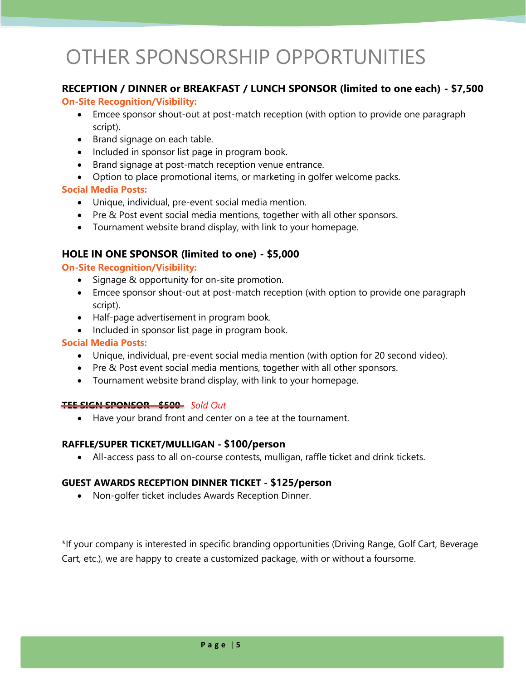# OTHER SPONSORSHIP OPPORTUNITIES

#### **RECEPTION / DINNER or BREAKFAST / LUNCH SPONSOR (limited to one each) - \$7,500**

#### **On-Site Recognition/Visibility:**

- Emcee sponsor shout-out at post-match reception (with option to provide one paragraph script).
- Brand signage on each table.
- Included in sponsor list page in program book.
- Brand signage at post-match reception venue entrance.
- Option to place promotional items, or marketing in golfer welcome packs.

#### **Social Media Posts:**

- Unique, individual, pre-event social media mention.
- Pre & Post event social media mentions, together with all other sponsors.
- Tournament website brand display, with link to your homepage.

#### **HOLE IN ONE SPONSOR (limited to one) - \$5,000**

#### **On-Site Recognition/Visibility:**

- Signage & opportunity for on-site promotion.
- Emcee sponsor shout-out at post-match reception (with option to provide one paragraph script).
- Half-page advertisement in program book.
- Included in sponsor list page in program book.

#### **Social Media Posts:**

- Unique, individual, pre-event social media mention (with option for 20 second video).
- Pre & Post event social media mentions, together with all other sponsors.
- Tournament website brand display, with link to your homepage.

#### **TEE SIGN SPONSOR - \$500** *Sold Out*

• Have your brand front and center on a tee at the tournament.

#### **RAFFLE/SUPER TICKET/MULLIGAN - \$100/person**

• All-access pass to all on-course contests, mulligan, raffle ticket and drink tickets.

#### **GUEST AWARDS RECEPTION DINNER TICKET - \$125/person**

• Non-golfer ticket includes Awards Reception Dinner.

\*If your company is interested in specific branding opportunities (Driving Range, Golf Cart, Beverage Cart, etc.), we are happy to create a customized package, with or without a foursome.